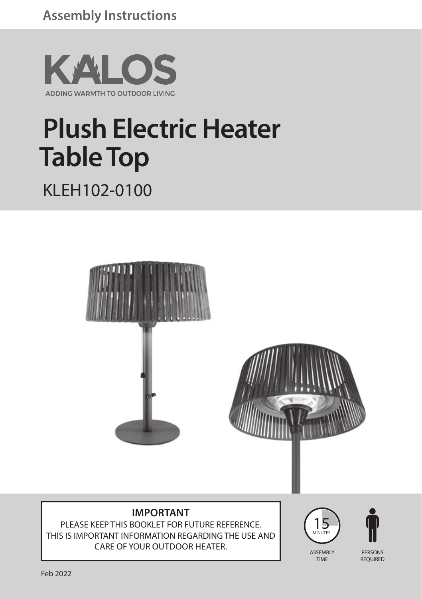

# **Plush Electric Heater Table Top** KLEH102-0100



#### **IMPORTANT**

PLEASE KEEP THIS BOOKLET FOR FUTURE REFERENCE. THIS IS IMPORTANT INFORMATION REGARDING THE USE AND CARE OF YOUR OUTDOOR HEATER.





TIME

PERSONS REQUIRED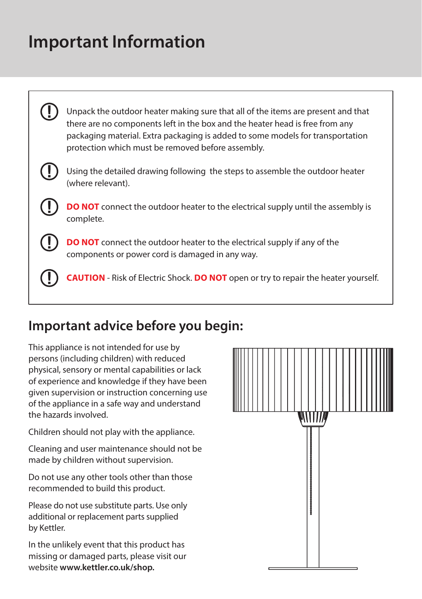### **Important Information**



### **Important advice before you begin:**

This appliance is not intended for use by persons (including children) with reduced physical, sensory or mental capabilities or lack of experience and knowledge if they have been given supervision or instruction concerning use of the appliance in a safe way and understand the hazards involved.

Children should not play with the appliance.

Cleaning and user maintenance should not be made by children without supervision.

Do not use any other tools other than those recommended to build this product.

Please do not use substitute parts. Use only additional or replacement parts supplied by Kettler.

In the unlikely event that this product has missing or damaged parts, please visit our website **www.kettler.co.uk/shop.**

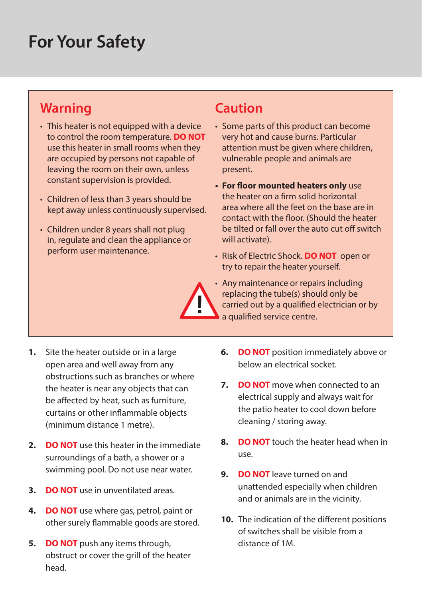### **For Your Safety**

#### **Warning**

- This heater is not equipped with a device to control the room temperature. **DO NOT** use this heater in small rooms when they are occupied by persons not capable of leaving the room on their own, unless constant supervision is provided.
- Children of less than 3 years should be kept away unless continuously supervised.
- Children under 8 years shall not plug in, regulate and clean the appliance or perform user maintenance.

#### **Caution**

- Some parts of this product can become very hot and cause burns. Particular attention must be given where children, vulnerable people and animals are present.
- **• For floor mounted heaters only** use the heater on a firm solid horizontal area where all the feet on the base are in contact with the floor. (Should the heater be tilted or fall over the auto cut off switch will activate).
- Risk of Electric Shock. **DO NOT** open or try to repair the heater yourself.
- Any maintenance or repairs including replacing the tube(s) should only be carried out by a qualified electrician or by a qualified service centre.
- **1.** Site the heater outside or in a large open area and well away from any obstructions such as branches or where the heater is near any objects that can be affected by heat, such as furniture, curtains or other inflammable objects (minimum distance 1 metre).
- **2. DO NOT** use this heater in the immediate surroundings of a bath, a shower or a swimming pool. Do not use near water.
- **3. DO NOT** use in unventilated areas.
- **4. DO NOT** use where gas, petrol, paint or other surely flammable goods are stored.
- **5. DO NOT** push any items through, obstruct or cover the grill of the heater head.
- **6. DO NOT** position immediately above or below an electrical socket.
- **7. DO NOT** move when connected to an electrical supply and always wait for the patio heater to cool down before cleaning / storing away.
- **8. DO NOT** touch the heater head when in use.
- **9. DO NOT** leave turned on and unattended especially when children and or animals are in the vicinity.
- **10.** The indication of the different positions of switches shall be visible from a distance of 1M.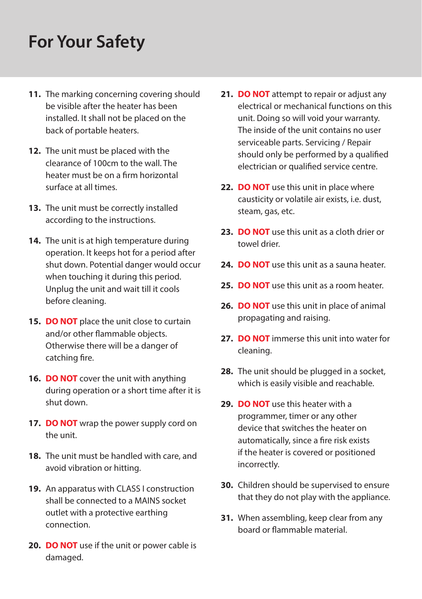### **For Your Safety**

- **11.** The marking concerning covering should be visible after the heater has been installed. It shall not be placed on the back of portable heaters.
- **12.** The unit must be placed with the clearance of 100cm to the wall. The heater must be on a firm horizontal surface at all times.
- **13.** The unit must be correctly installed according to the instructions.
- **14.** The unit is at high temperature during operation. It keeps hot for a period after shut down. Potential danger would occur when touching it during this period. Unplug the unit and wait till it cools before cleaning.
- **15. DO NOT** place the unit close to curtain and/or other flammable objects. Otherwise there will be a danger of catching fire.
- **16. DO NOT** cover the unit with anything during operation or a short time after it is shut down.
- **17. DO NOT** wrap the power supply cord on the unit.
- **18.** The unit must be handled with care, and avoid vibration or hitting.
- **19.** An apparatus with CLASS I construction shall be connected to a MAINS socket outlet with a protective earthing connection.
- **20. DO NOT** use if the unit or power cable is damaged.
- **21. DO NOT** attempt to repair or adjust any electrical or mechanical functions on this unit. Doing so will void your warranty. The inside of the unit contains no user serviceable parts. Servicing / Repair should only be performed by a qualified electrician or qualified service centre.
- **22. DO NOT** use this unit in place where causticity or volatile air exists, i.e. dust, steam, gas, etc.
- **23. DO NOT** use this unit as a cloth drier or towel drier.
- **24. DO NOT** use this unit as a sauna heater.
- **25. DO NOT** use this unit as a room heater.
- **26. DO NOT** use this unit in place of animal propagating and raising.
- **27. DO NOT** immerse this unit into water for cleaning.
- **28.** The unit should be plugged in a socket, which is easily visible and reachable.
- **29. DO NOT** use this heater with a programmer, timer or any other device that switches the heater on automatically, since a fire risk exists if the heater is covered or positioned incorrectly.
- **30.** Children should be supervised to ensure that they do not play with the appliance.
- **31.** When assembling, keep clear from any board or flammable material.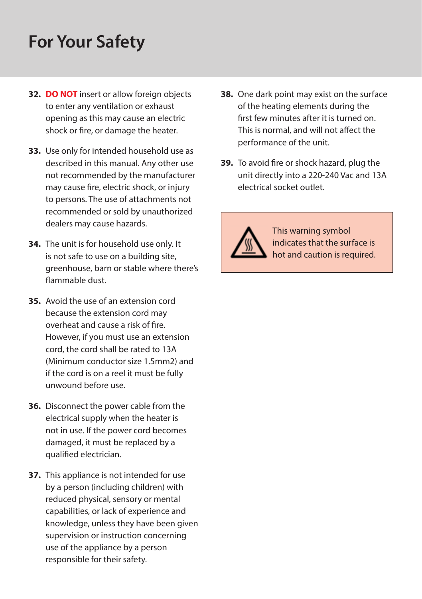### **For Your Safety**

- **32. DO NOT** insert or allow foreign objects to enter any ventilation or exhaust opening as this may cause an electric shock or fire, or damage the heater.
- **33.** Use only for intended household use as described in this manual. Any other use not recommended by the manufacturer may cause fire, electric shock, or injury to persons. The use of attachments not recommended or sold by unauthorized dealers may cause hazards.
- **34.** The unit is for household use only. It is not safe to use on a building site, greenhouse, barn or stable where there's flammable dust.
- **35.** Avoid the use of an extension cord because the extension cord may overheat and cause a risk of fire. However, if you must use an extension cord, the cord shall be rated to 13A (Minimum conductor size 1.5mm2) and if the cord is on a reel it must be fully unwound before use.
- **36.** Disconnect the power cable from the electrical supply when the heater is not in use. If the power cord becomes damaged, it must be replaced by a qualified electrician.
- **37.** This appliance is not intended for use by a person (including children) with reduced physical, sensory or mental capabilities, or lack of experience and knowledge, unless they have been given supervision or instruction concerning use of the appliance by a person responsible for their safety.
- **38.** One dark point may exist on the surface of the heating elements during the first few minutes after it is turned on. This is normal, and will not affect the performance of the unit.
- **39.** To avoid fire or shock hazard, plug the unit directly into a 220-240 Vac and 13A electrical socket outlet.



This warning symbol indicates that the surface is hot and caution is required.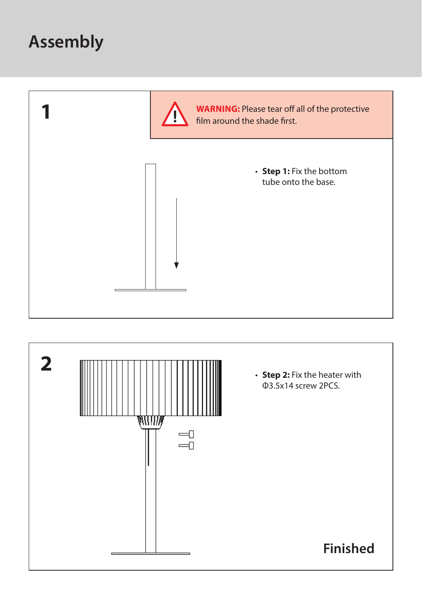

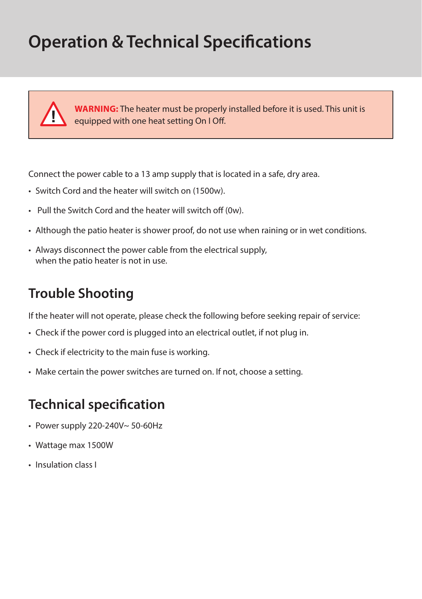## **Operation & Technical Specifications**



**WARNING:** The heater must be properly installed before it is used. This unit is equipped with one heat setting On I Off.

Connect the power cable to a 13 amp supply that is located in a safe, dry area.

- Switch Cord and the heater will switch on (1500w).
- Pull the Switch Cord and the heater will switch off (0w).
- Although the patio heater is shower proof, do not use when raining or in wet conditions.
- Always disconnect the power cable from the electrical supply, when the patio heater is not in use.

#### **Trouble Shooting**

If the heater will not operate, please check the following before seeking repair of service:

- Check if the power cord is plugged into an electrical outlet, if not plug in.
- Check if electricity to the main fuse is working.
- Make certain the power switches are turned on. If not, choose a setting.

### **Technical specification**

- Power supply 220-240V~ 50-60Hz
- Wattage max 1500W
- Insulation class I